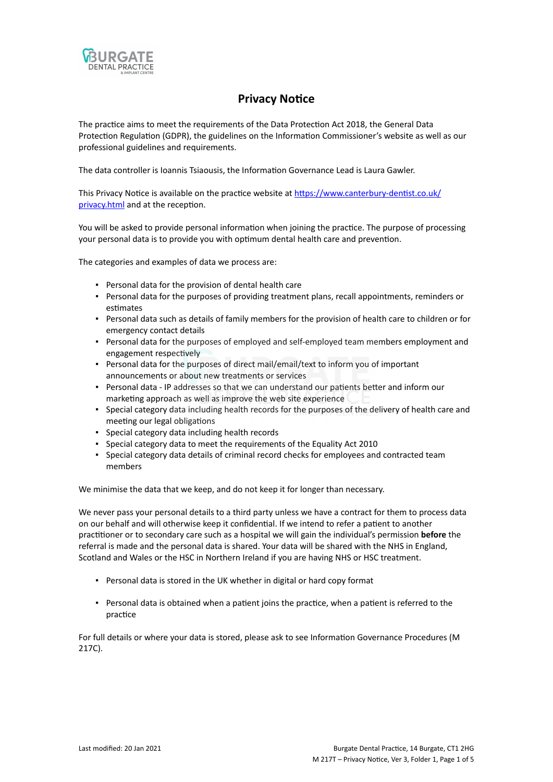

# **Privacy Notice**

The practice aims to meet the requirements of the Data Protection Act 2018, the General Data Protection Regulation (GDPR), the guidelines on the Information Commissioner's website as well as our professional guidelines and requirements.

The data controller is Ioannis Tsiaousis, the Information Governance Lead is Laura Gawler.

This Privacy Notice is available on the practice website at [https://www.canterbury-dentist.co.uk/](https://www.canterbury-dentist.co.uk/privacy.html) [privacy.html](https://www.canterbury-dentist.co.uk/privacy.html) and at the reception.

You will be asked to provide personal information when joining the practice. The purpose of processing your personal data is to provide you with optimum dental health care and prevention.

The categories and examples of data we process are:

- Personal data for the provision of dental health care
- Personal data for the purposes of providing treatment plans, recall appointments, reminders or estimates
- Personal data such as details of family members for the provision of health care to children or for emergency contact details
- Personal data for the purposes of employed and self-employed team members employment and engagement respectively
- Personal data for the purposes of direct mail/email/text to inform you of important announcements or about new treatments or services
- Personal data IP addresses so that we can understand our patients better and inform our marketing approach as well as improve the web site experience
- Special category data including health records for the purposes of the delivery of health care and meeting our legal obligations
- Special category data including health records
- Special category data to meet the requirements of the Equality Act 2010
- Special category data details of criminal record checks for employees and contracted team members

We minimise the data that we keep, and do not keep it for longer than necessary.

We never pass your personal details to a third party unless we have a contract for them to process data on our behalf and will otherwise keep it confidential. If we intend to refer a patient to another practitioner or to secondary care such as a hospital we will gain the individual's permission **before** the referral is made and the personal data is shared. Your data will be shared with the NHS in England, Scotland and Wales or the HSC in Northern Ireland if you are having NHS or HSC treatment.

- Personal data is stored in the UK whether in digital or hard copy format
- Personal data is obtained when a patient joins the practice, when a patient is referred to the practice

For full details or where your data is stored, please ask to see Information Governance Procedures (M 217C).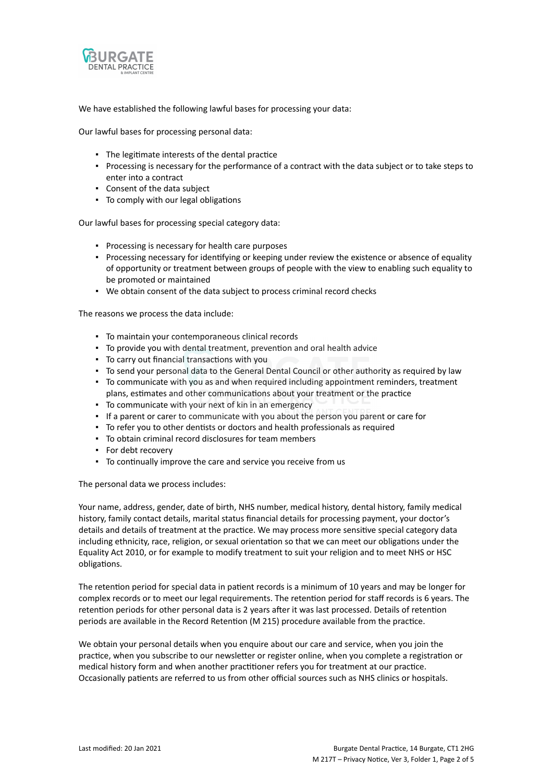

We have established the following lawful bases for processing your data:

Our lawful bases for processing personal data:

- The legitimate interests of the dental practice
- Processing is necessary for the performance of a contract with the data subject or to take steps to enter into a contract
- Consent of the data subject
- To comply with our legal obligations

Our lawful bases for processing special category data:

- Processing is necessary for health care purposes
- Processing necessary for identifying or keeping under review the existence or absence of equality of opportunity or treatment between groups of people with the view to enabling such equality to be promoted or maintained
- We obtain consent of the data subject to process criminal record checks

The reasons we process the data include:

- To maintain your contemporaneous clinical records
- To provide you with dental treatment, prevention and oral health advice
- To carry out financial transactions with you
- To send your personal data to the General Dental Council or other authority as required by law
- To communicate with you as and when required including appointment reminders, treatment plans, estimates and other communications about your treatment or the practice
- To communicate with your next of kin in an emergency
- If a parent or carer to communicate with you about the person you parent or care for
- To refer you to other dentists or doctors and health professionals as required
- To obtain criminal record disclosures for team members
- For debt recovery
- To continually improve the care and service you receive from us

The personal data we process includes:

Your name, address, gender, date of birth, NHS number, medical history, dental history, family medical history, family contact details, marital status financial details for processing payment, your doctor's details and details of treatment at the practice. We may process more sensitive special category data including ethnicity, race, religion, or sexual orientation so that we can meet our obligations under the Equality Act 2010, or for example to modify treatment to suit your religion and to meet NHS or HSC obligations.

The retention period for special data in patient records is a minimum of 10 years and may be longer for complex records or to meet our legal requirements. The retention period for staff records is 6 years. The retention periods for other personal data is 2 years after it was last processed. Details of retention periods are available in the Record Retention (M 215) procedure available from the practice.

We obtain your personal details when you enquire about our care and service, when you join the practice, when you subscribe to our newsletter or register online, when you complete a registration or medical history form and when another practitioner refers you for treatment at our practice. Occasionally patients are referred to us from other official sources such as NHS clinics or hospitals.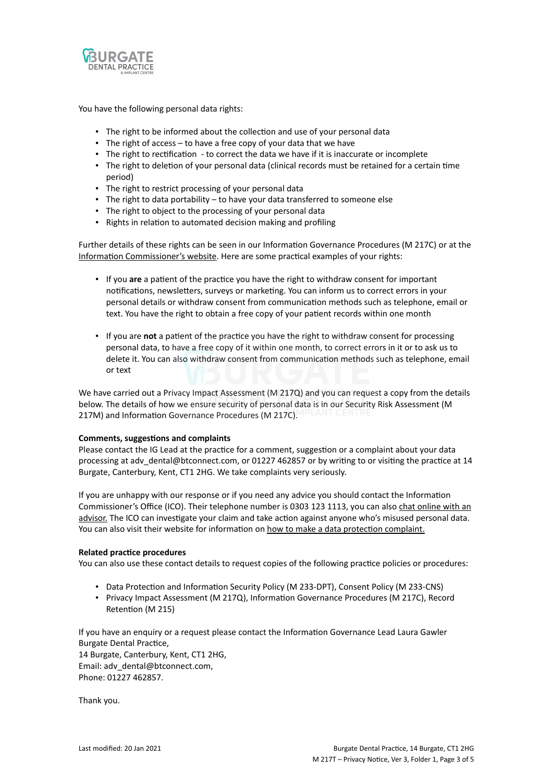

You have the following personal data rights:

- **.** The right to be informed about the collection and use of your personal data
- **•** The right of access  $-$  to have a free copy of your data that we have
- The right to rectification to correct the data we have if it is inaccurate or incomplete
- The right to deletion of your personal data (clinical records must be retained for a certain time period)
- The right to restrict processing of your personal data
- The right to data portability to have your data transferred to someone else
- The right to object to the processing of your personal data
- Rights in relation to automated decision making and profiling

Further details of these rights can be seen in our Information Governance Procedures (M 217C) or at the [Information Commissioner's website](https://ico.org.uk/for-organisations/guide-to-the-general-data-protection-regulation-gdpr/individual-rights/). Here are some practical examples of your rights:

- If you **are** a patient of the practice you have the right to withdraw consent for important notifications, newsletters, surveys or marketing. You can inform us to correct errors in your personal details or withdraw consent from communication methods such as telephone, email or text. You have the right to obtain a free copy of your patient records within one month
- If you are **not** a patient of the practice you have the right to withdraw consent for processing personal data, to have a free copy of it within one month, to correct errors in it or to ask us to delete it. You can also withdraw consent from communication methods such as telephone, email or text

We have carried out a Privacy Impact Assessment (M 217Q) and you can request a copy from the details below. The details of how we ensure security of personal data is in our Security Risk Assessment (M 217M) and Information Governance Procedures (M 217C).

#### **Comments, suggestions and complaints**

Please contact the IG Lead at the practice for a comment, suggestion or a complaint about your data processing at adv\_dental@btconnect.com, or 01227 462857 or by writing to or visiting the practice at 14 Burgate, Canterbury, Kent, CT1 2HG. We take complaints very seriously.

If you are unhappy with our response or if you need any advice you should contact the Information Commissioner's Office (ICO). Their telephone number is 0303 123 1113, you can also [chat online with an](https://ico.org.uk/global/contact-us/live-chat/) [advisor.](https://ico.org.uk/global/contact-us/live-chat/) The ICO can investigate your claim and take action against anyone who's misused personal data. You can also visit their website for information on [how to make a data protection complaint.](http://www.ico.org.uk/complaints)

#### **Related practice procedures**

You can also use these contact details to request copies of the following practice policies or procedures:

- Data Protection and Information Security Policy (M 233-DPT), Consent Policy (M 233-CNS)
- Privacy Impact Assessment (M 217Q), Information Governance Procedures (M 217C), Record Retention (M 215)

If you have an enquiry or a request please contact the Information Governance Lead Laura Gawler Burgate Dental Practice,

14 Burgate, Canterbury, Kent, CT1 2HG, Email: adv\_dental@btconnect.com, Phone: 01227 462857.

Thank you.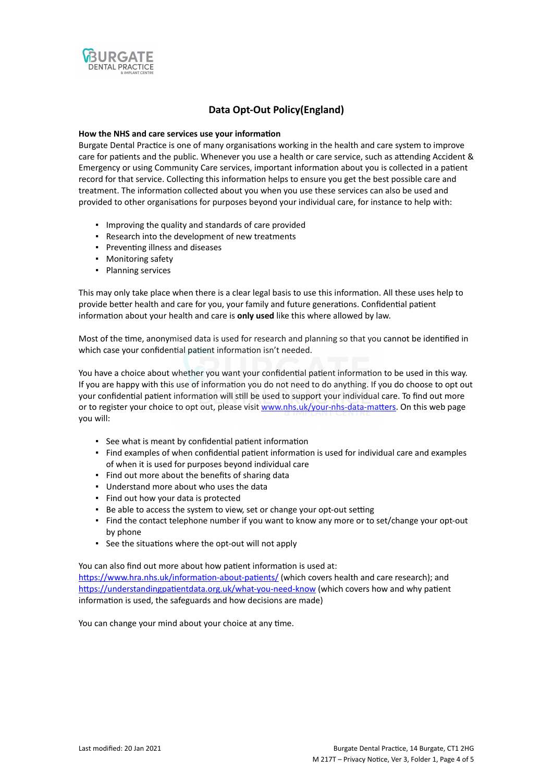

## **Data Opt-Out Policy(England)**

### **How the NHS and care services use your information**

Burgate Dental Practice is one of many organisations working in the health and care system to improve care for patients and the public. Whenever you use a health or care service, such as attending Accident & Emergency or using Community Care services, important information about you is collected in a patient record for that service. Collecting this information helps to ensure you get the best possible care and treatment. The information collected about you when you use these services can also be used and provided to other organisations for purposes beyond your individual care, for instance to help with:

- Improving the quality and standards of care provided
- Research into the development of new treatments
- Preventing illness and diseases
- Monitoring safety
- Planning services

This may only take place when there is a clear legal basis to use this information. All these uses help to provide better health and care for you, your family and future generations. Confidential patient information about your health and care is **only used** like this where allowed by law.

Most of the time, anonymised data is used for research and planning so that you cannot be identified in which case your confidential patient information isn't needed.

You have a choice about whether you want your confidential patient information to be used in this way. If you are happy with this use of information you do not need to do anything. If you do choose to opt out your confidential patient information will still be used to support your individual care. To find out more or to register your choice to opt out, please visit [www.nhs.uk/your-nhs-data-matters](http://www.nhs.uk/your-nhs-data-matters). On this web page you will:

- See what is meant by confidential patient information
- Find examples of when confidential patient information is used for individual care and examples of when it is used for purposes beyond individual care
- Find out more about the benefits of sharing data
- Understand more about who uses the data
- Find out how your data is protected
- Be able to access the system to view, set or change your opt-out setting
- Find the contact telephone number if you want to know any more or to set/change your opt-out by phone
- See the situations where the opt-out will not apply

You can also find out more about how patient information is used at:

[https://www.hra.nhs.uk/information-about-patients/](https://www.hra.nhs.uk/information-about-patients/%20) (which covers health and care research); and <https://understandingpatientdata.org.uk/what-you-need-know> (which covers how and why patient information is used, the safeguards and how decisions are made)

You can change your mind about your choice at any time.